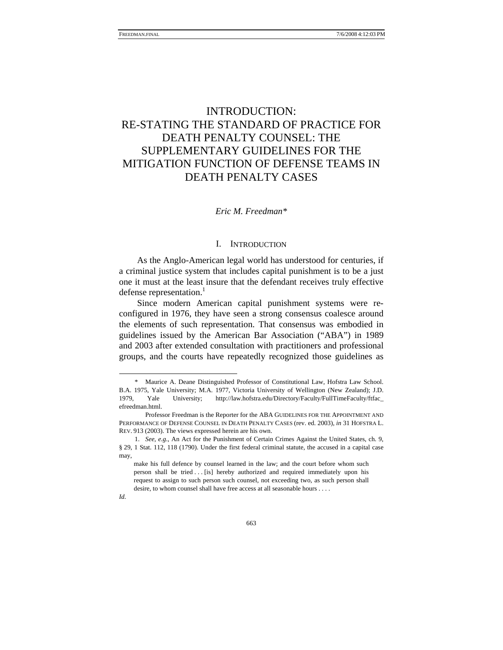# INTRODUCTION: RE-STATING THE STANDARD OF PRACTICE FOR DEATH PENALTY COUNSEL: THE SUPPLEMENTARY GUIDELINES FOR THE MITIGATION FUNCTION OF DEFENSE TEAMS IN DEATH PENALTY CASES

# *Eric M. Freedma[n\\*](#page-0-0)*

# I. INTRODUCTION

As the Anglo-American legal world has understood for centuries, if a criminal justice system that includes capital punishment is to be a just one it must at the least insure that the defendant receives truly effective defense representation.<sup>1</sup>

Since modern American capital punishment systems were reconfigured in 1976, they have seen a strong consensus coalesce around the elements of such representation. That consensus was embodied in guidelines issued by the American Bar Association ("ABA") in 1989 and 2003 after extended consultation with practitioners and professional groups, and the courts have repeatedly recognized those guidelines as

<span id="page-0-0"></span> <sup>\*</sup> Maurice A. Deane Distinguished Professor of Constitutional Law, Hofstra Law School. B.A. 1975, Yale University; M.A. 1977, Victoria University of Wellington (New Zealand); J.D. 1979, Yale University; http://law.hofstra.edu/Directory/Faculty/FullTimeFaculty/ftfac\_ efreedman.html.

Professor Freedman is the Reporter for the ABA GUIDELINES FOR THE APPOINTMENT AND PERFORMANCE OF DEFENSE COUNSEL IN DEATH PENALTY CASES (rev. ed. 2003), *in* 31 HOFSTRA L. REV. 913 (2003). The views expressed herein are his own.

<span id="page-0-1"></span><sup>1.</sup> *See, e.g.*, An Act for the Punishment of Certain Crimes Against the United States, ch. 9, § 29, 1 Stat. 112, 118 (1790). Under the first federal criminal statute, the accused in a capital case may,

make his full defence by counsel learned in the law; and the court before whom such person shall be tried . . . [is] hereby authorized and required immediately upon his request to assign to such person such counsel, not exceeding two, as such person shall desire, to whom counsel shall have free access at all seasonable hours . . . .

*Id.*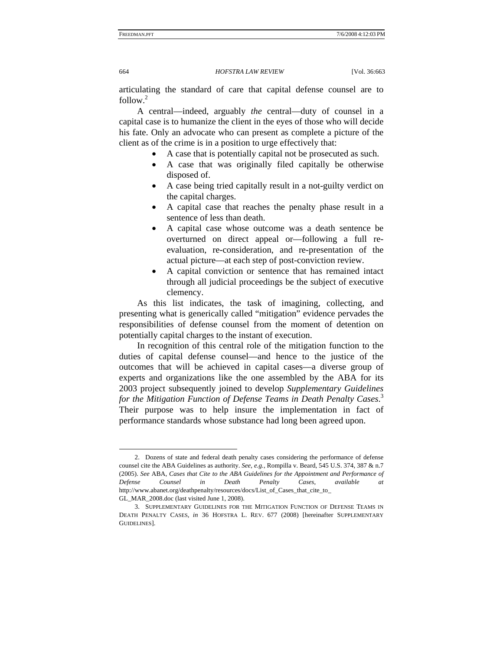articulating the standard of care that capital defense counsel are to follow.[2](#page-1-0)

A central—indeed, arguably *the* central—duty of counsel in a capital case is to humanize the client in the eyes of those who will decide his fate. Only an advocate who can present as complete a picture of the client as of the crime is in a position to urge effectively that:

- A case that is potentially capital not be prosecuted as such.
- A case that was originally filed capitally be otherwise disposed of.
- A case being tried capitally result in a not-guilty verdict on the capital charges.
- A capital case that reaches the penalty phase result in a sentence of less than death.
- A capital case whose outcome was a death sentence be overturned on direct appeal or—following a full reevaluation, re-consideration, and re-presentation of the actual picture—at each step of post-conviction review.
- A capital conviction or sentence that has remained intact through all judicial proceedings be the subject of executive clemency.

As this list indicates, the task of imagining, collecting, and presenting what is generically called "mitigation" evidence pervades the responsibilities of defense counsel from the moment of detention on potentially capital charges to the instant of execution.

In recognition of this central role of the mitigation function to the duties of capital defense counsel—and hence to the justice of the outcomes that will be achieved in capital cases—a diverse group of experts and organizations like the one assembled by the ABA for its 2003 project subsequently joined to develop *Supplementary Guidelines for the Mitigation Function of Defense Teams in Death Penalty Cases*. [3](#page-1-1) Their purpose was to help insure the implementation in fact of performance standards whose substance had long been agreed upon.

<span id="page-1-0"></span><sup>2.</sup> Dozens of state and federal death penalty cases considering the performance of defense counsel cite the ABA Guidelines as authority. *See, e.g.*, Rompilla v. Beard, 545 U.S. 374, 387 & n.7 (2005). *See* ABA, *Cases that Cite to the ABA Guidelines for the Appointment and Performance of Defense Counsel in Death Penalty Cases*, *available at*  http://www.abanet.org/deathpenalty/resources/docs/List\_of\_Cases\_that\_cite\_to\_ GL\_MAR\_2008.doc (last visited June 1, 2008).

<span id="page-1-1"></span><sup>3.</sup> SUPPLEMENTARY GUIDELINES FOR THE MITIGATION FUNCTION OF DEFENSE TEAMS IN DEATH PENALTY CASES, *in* 36 HOFSTRA L. REV. 677 (2008) [hereinafter SUPPLEMENTARY GUIDELINES].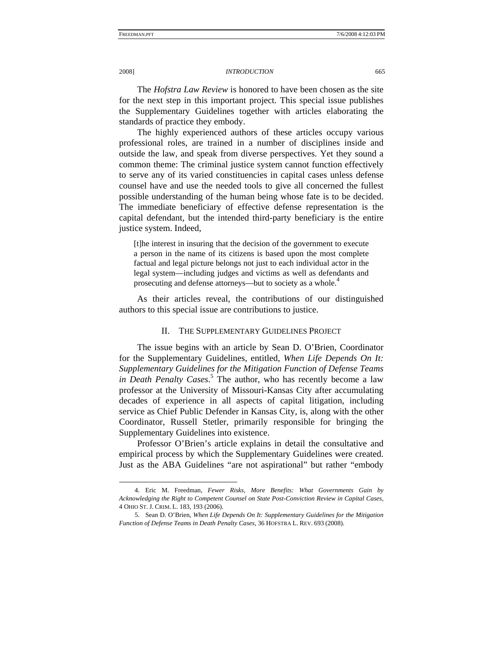The *Hofstra Law Review* is honored to have been chosen as the site for the next step in this important project. This special issue publishes the Supplementary Guidelines together with articles elaborating the standards of practice they embody.

The highly experienced authors of these articles occupy various professional roles, are trained in a number of disciplines inside and outside the law, and speak from diverse perspectives. Yet they sound a common theme: The criminal justice system cannot function effectively to serve any of its varied constituencies in capital cases unless defense counsel have and use the needed tools to give all concerned the fullest possible understanding of the human being whose fate is to be decided. The immediate beneficiary of effective defense representation is the capital defendant, but the intended third-party beneficiary is the entire justice system. Indeed,

[t]he interest in insuring that the decision of the government to execute a person in the name of its citizens is based upon the most complete factual and legal picture belongs not just to each individual actor in the legal system—including judges and victims as well as defendants and prosecuting and defense attorneys—but to society as a whole.<sup>[4](#page-2-0)</sup>

As their articles reveal, the contributions of our distinguished authors to this special issue are contributions to justice.

### II. THE SUPPLEMENTARY GUIDELINES PROJECT

The issue begins with an article by Sean D. O'Brien, Coordinator for the Supplementary Guidelines, entitled, *When Life Depends On It: Supplementary Guidelines for the Mitigation Function of Defense Teams in Death Penalty Cases*. [5](#page-2-1) The author, who has recently become a law professor at the University of Missouri-Kansas City after accumulating decades of experience in all aspects of capital litigation, including service as Chief Public Defender in Kansas City, is, along with the other Coordinator, Russell Stetler, primarily responsible for bringing the Supplementary Guidelines into existence.

Professor O'Brien's article explains in detail the consultative and empirical process by which the Supplementary Guidelines were created. Just as the ABA Guidelines "are not aspirational" but rather "embody

<span id="page-2-0"></span><sup>4.</sup> Eric M. Freedman, *Fewer Risks, More Benefits: What Governments Gain by Acknowledging the Right to Competent Counsel on State Post-Conviction Review in Capital Cases*, 4 OHIO ST. J. CRIM. L. 183, 193 (2006).

<span id="page-2-1"></span><sup>5.</sup> Sean D. O'Brien, *When Life Depends On It: Supplementary Guidelines for the Mitigation Function of Defense Teams in Death Penalty Cases*, 36 HOFSTRA L. REV. 693 (2008).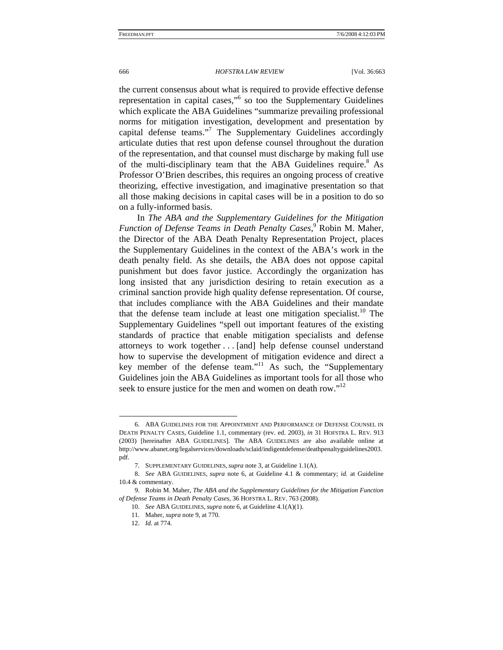the current consensus about what is required to provide effective defense representation in capital cases,"<sup>[6](#page-3-0)</sup> so too the Supplementary Guidelines which explicate the ABA Guidelines "summarize prevailing professional norms for mitigation investigation, development and presentation by capital defense teams."<sup>[7](#page-3-1)</sup> The Supplementary Guidelines accordingly articulate duties that rest upon defense counsel throughout the duration of the representation, and that counsel must discharge by making full use of the multi-disciplinary team that the ABA Guidelines require.<sup>[8](#page-3-2)</sup> As Professor O'Brien describes, this requires an ongoing process of creative theorizing, effective investigation, and imaginative presentation so that all those making decisions in capital cases will be in a position to do so on a fully-informed basis.

In *The ABA and the Supplementary Guidelines for the Mitigation Function of Defense Teams in Death Penalty Cases*, [9](#page-3-3) Robin M. Maher, the Director of the ABA Death Penalty Representation Project, places the Supplementary Guidelines in the context of the ABA's work in the death penalty field. As she details, the ABA does not oppose capital punishment but does favor justice. Accordingly the organization has long insisted that any jurisdiction desiring to retain execution as a criminal sanction provide high quality defense representation. Of course, that includes compliance with the ABA Guidelines and their mandate that the defense team include at least one mitigation specialist.<sup>10</sup> The Supplementary Guidelines "spell out important features of the existing standards of practice that enable mitigation specialists and defense attorneys to work together . . . [and] help defense counsel understand how to supervise the development of mitigation evidence and direct a key member of the defense team."<sup>11</sup> As such, the "Supplementary Guidelines join the ABA Guidelines as important tools for all those who seek to ensure justice for the men and women on death row."<sup>[12](#page-3-6)</sup>

<span id="page-3-0"></span><sup>6.</sup> ABA GUIDELINES FOR THE APPOINTMENT AND PERFORMANCE OF DEFENSE COUNSEL IN DEATH PENALTY CASES, Guideline 1.1, commentary (rev. ed. 2003), *in* 31 HOFSTRA L. REV. 913 (2003) [hereinafter ABA GUIDELINES]. The ABA GUIDELINES are also available online at http://www.abanet.org/legalservices/downloads/sclaid/indigentdefense/deathpenaltyguidelines2003. pdf.

<span id="page-3-2"></span><span id="page-3-1"></span><sup>7.</sup> SUPPLEMENTARY GUIDELINES, *supra* note 3, at Guideline 1.1(A).

<sup>8.</sup> *See* ABA GUIDELINES, *supra* note 6, at Guideline 4.1 & commentary; *id.* at Guideline 10.4 & commentary.

<span id="page-3-3"></span><sup>9.</sup> Robin M. Maher, *The ABA and the Supplementary Guidelines for the Mitigation Function of Defense Teams in Death Penalty Cases*, 36 HOFSTRA L. REV. 763 (2008).

<span id="page-3-4"></span><sup>10.</sup> *See* ABA GUIDELINES, *supra* note 6, at Guideline 4.1(A)(1).

<span id="page-3-5"></span><sup>11.</sup> Maher, *supra* note 9, at 770.

<span id="page-3-6"></span><sup>12.</sup> *Id.* at 774.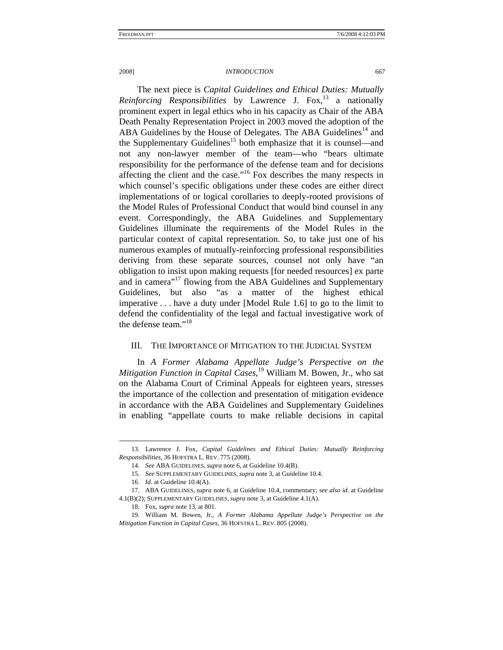The next piece is *Capital Guidelines and Ethical Duties: Mutually Reinforcing Responsibilities* by Lawrence J. Fox,<sup>13</sup> a nationally prominent expert in legal ethics who in his capacity as Chair of the ABA Death Penalty Representation Project in 2003 moved the adoption of the ABA Guidelines by the House of Delegates. The ABA Guidelines<sup>14</sup> and the Supplementary Guidelines<sup>15</sup> both emphasize that it is counsel—and not any non-lawyer member of the team—who "bears ultimate responsibility for the performance of the defense team and for decisions affecting the client and the case."<sup>16</sup> Fox describes the many respects in which counsel's specific obligations under these codes are either direct implementations of or logical corollaries to deeply-rooted provisions of the Model Rules of Professional Conduct that would bind counsel in any event. Correspondingly, the ABA Guidelines and Supplementary Guidelines illuminate the requirements of the Model Rules in the particular context of capital representation. So, to take just one of his numerous examples of mutually-reinforcing professional responsibilities deriving from these separate sources, counsel not only have "an obligation to insist upon making requests [for needed resources] ex parte and in camera"<sup>17</sup> flowing from the ABA Guidelines and Supplementary Guidelines, but also "as a matter of the highest ethical imperative . . . have a duty under [Model Rule 1.6] to go to the limit to defend the confidentiality of the legal and factual investigative work of the defense team."[18](#page-4-5)

# III. THE IMPORTANCE OF MITIGATION TO THE JUDICIAL SYSTEM

In *A Former Alabama Appellate Judge's Perspective on the Mitigation Function in Capital Cases*, [19](#page-4-6) William M. Bowen, Jr., who sat on the Alabama Court of Criminal Appeals for eighteen years, stresses the importance of the collection and presentation of mitigation evidence in accordance with the ABA Guidelines and Supplementary Guidelines in enabling "appellate courts to make reliable decisions in capital

<span id="page-4-0"></span><sup>13.</sup> Lawrence J. Fox, *Capital Guidelines and Ethical Duties: Mutually Reinforcing Responsibilities*, 36 HOFSTRA L. REV. 775 (2008).

<span id="page-4-1"></span><sup>14.</sup> *See* ABA GUIDELINES, *supra* note 6, at Guideline 10.4(B).

<span id="page-4-2"></span><sup>15.</sup> *See* SUPPLEMENTARY GUIDELINES, *supra* note 3, at Guideline 10.4.

<span id="page-4-4"></span><span id="page-4-3"></span><sup>16.</sup> *Id.* at Guideline 10.4(A).

<sup>17.</sup> ABA GUIDELINES, *supra* note 6, at Guideline 10.4, commentary; *see also id.* at Guideline 4.1(B)(2); SUPPLEMENTARY GUIDELINES, *supra* note 3, at Guideline 4.1(A).

<span id="page-4-6"></span><span id="page-4-5"></span><sup>18.</sup> Fox, *supra* note 13, at 801.

<sup>19.</sup> William M. Bowen, Jr., *A Former Alabama Appellate Judge's Perspective on the Mitigation Function in Capital Cases*, 36 HOFSTRA L. REV. 805 (2008).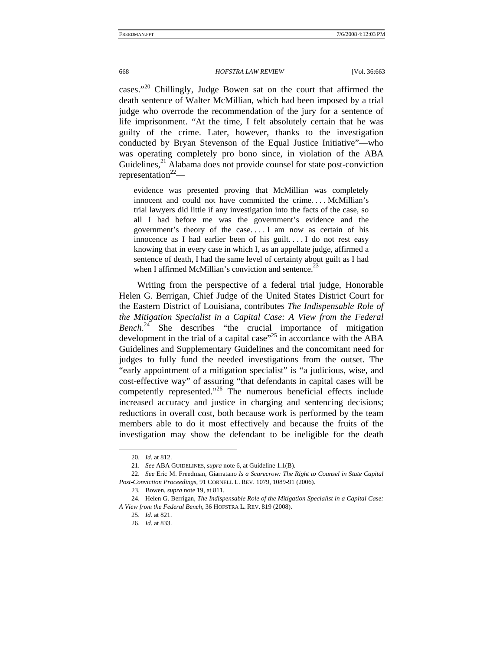cases."<sup>20</sup> Chillingly, Judge Bowen sat on the court that affirmed the death sentence of Walter McMillian, which had been imposed by a trial judge who overrode the recommendation of the jury for a sentence of life imprisonment. "At the time, I felt absolutely certain that he was guilty of the crime. Later, however, thanks to the investigation conducted by Bryan Stevenson of the Equal Justice Initiative"—who was operating completely pro bono since, in violation of the ABA Guidelines, $^{21}$  Alabama does not provide counsel for state post-conviction representation $2^{2}$ —

evidence was presented proving that McMillian was completely innocent and could not have committed the crime. . . . McMillian's trial lawyers did little if any investigation into the facts of the case, so all I had before me was the government's evidence and the government's theory of the case. . . . I am now as certain of his innocence as I had earlier been of his guilt. . . . I do not rest easy knowing that in every case in which I, as an appellate judge, affirmed a sentence of death, I had the same level of certainty about guilt as I had when I affirmed McMillian's conviction and sentence[.](#page-5-3)<sup>23</sup>

Writing from the perspective of a federal trial judge, Honorable Helen G. Berrigan, Chief Judge of the United States District Court for the Eastern District of Louisiana, contributes *The Indispensable Role of the Mitigation Specialist in a Capital Case: A View from the Federal Bench*. [24](#page-5-4) She describes "the crucial importance of mitigation development in the trial of a capital case<sup> $25$ </sup> in accordance with the ABA Guidelines and Supplementary Guidelines and the concomitant need for judges to fully fund the needed investigations from the outset. The "early appointment of a mitigation specialist" is "a judicious, wise, and cost-effective way" of assuring "that defendants in capital cases will be competently represented."[26](#page-5-6) The numerous beneficial effects include increased accuracy and justice in charging and sentencing decisions; reductions in overall cost, both because work is performed by the team members able to do it most effectively and because the fruits of the investigation may show the defendant to be ineligible for the death

<span id="page-5-0"></span><sup>20.</sup> *Id.* at 812.

<span id="page-5-2"></span><span id="page-5-1"></span><sup>21.</sup> *See* ABA GUIDELINES, *supra* note 6, at Guideline 1.1(B).

<sup>22.</sup> *See* Eric M. Freedman, Giarratano *Is a Scarecrow: The Right to Counsel in State Capital Post-Conviction Proceedings*, 91 CORNELL L. REV. 1079, 1089-91 (2006).

<span id="page-5-4"></span><span id="page-5-3"></span><sup>23.</sup> Bowen, *supra* note 19, at 811.

<sup>24.</sup> Helen G. Berrigan, *The Indispensable Role of the Mitigation Specialist in a Capital Case: A View from the Federal Bench*, 36 HOFSTRA L. REV. 819 (2008).

<span id="page-5-5"></span><sup>25.</sup> *Id.* at 821.

<span id="page-5-6"></span><sup>26.</sup> *Id.* at 833.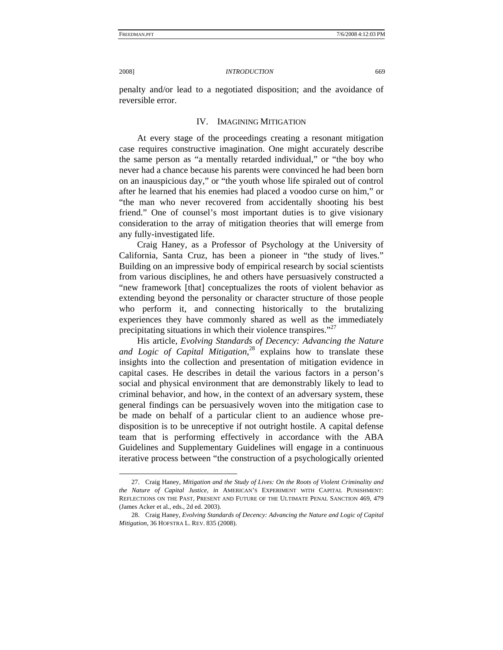penalty and/or lead to a negotiated disposition; and the avoidance of reversible error.

# IV. IMAGINING MITIGATION

At every stage of the proceedings creating a resonant mitigation case requires constructive imagination. One might accurately describe the same person as "a mentally retarded individual," or "the boy who never had a chance because his parents were convinced he had been born on an inauspicious day," or "the youth whose life spiraled out of control after he learned that his enemies had placed a voodoo curse on him," or "the man who never recovered from accidentally shooting his best friend." One of counsel's most important duties is to give visionary consideration to the array of mitigation theories that will emerge from any fully-investigated life.

Craig Haney, as a Professor of Psychology at the University of California, Santa Cruz, has been a pioneer in "the study of lives." Building on an impressive body of empirical research by social scientists from various disciplines, he and others have persuasively constructed a "new framework [that] conceptualizes the roots of violent behavior as extending beyond the personality or character structure of those people who perform it, and connecting historically to the brutalizing experiences they have commonly shared as well as the immediately precipitating situations in which their violence transpires."<sup>[27](#page-6-0)</sup>

His article, *Evolving Standards of Decency: Advancing the Nature and Logic of Capital Mitigation*, [28](#page-6-1) explains how to translate these insights into the collection and presentation of mitigation evidence in capital cases. He describes in detail the various factors in a person's social and physical environment that are demonstrably likely to lead to criminal behavior, and how, in the context of an adversary system, these general findings can be persuasively woven into the mitigation case to be made on behalf of a particular client to an audience whose predisposition is to be unreceptive if not outright hostile. A capital defense team that is performing effectively in accordance with the ABA Guidelines and Supplementary Guidelines will engage in a continuous iterative process between "the construction of a psychologically oriented

<span id="page-6-0"></span><sup>27.</sup> Craig Haney, *Mitigation and the Study of Lives: On the Roots of Violent Criminality and the Nature of Capital Justice*, *in* AMERICAN'S EXPERIMENT WITH CAPITAL PUNISHMENT: REFLECTIONS ON THE PAST, PRESENT AND FUTURE OF THE ULTIMATE PENAL SANCTION 469, 479 (James Acker et al., eds., 2d ed. 2003).

<span id="page-6-1"></span><sup>28.</sup> Craig Haney, *Evolving Standards of Decency: Advancing the Nature and Logic of Capital Mitigation*, 36 HOFSTRA L. REV. 835 (2008).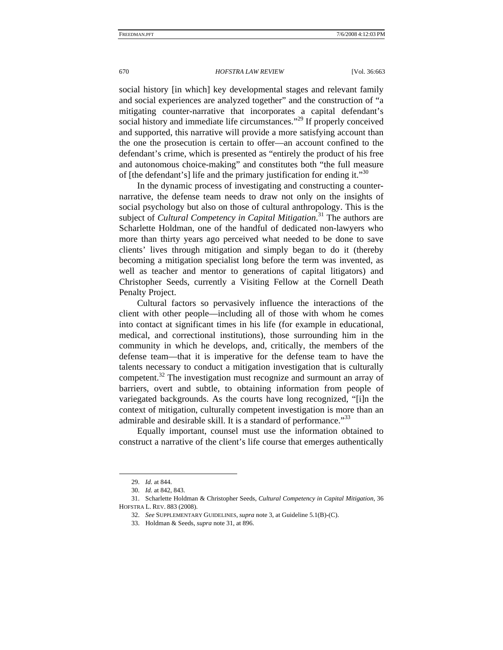social history [in which] key developmental stages and relevant family and social experiences are analyzed together" and the construction of "a mitigating counter-narrative that incorporates a capital defendant's social history and immediate life circumstances."<sup>29</sup> If properly conceived and supported, this narrative will provide a more satisfying account than the one the prosecution is certain to offer—an account confined to the defendant's crime, which is presented as "entirely the product of his free and autonomous choice-making" and constitutes both "the full measure of [the defendant's] life and the primary justification for ending it."<sup>30</sup>

In the dynamic process of investigating and constructing a counternarrative, the defense team needs to draw not only on the insights of social psychology but also on those of cultural anthropology. This is the subject of *Cultural Competency in Capital Mitigation*. [31](#page-7-2) The authors are Scharlette Holdman, one of the handful of dedicated non-lawyers who more than thirty years ago perceived what needed to be done to save clients' lives through mitigation and simply began to do it (thereby becoming a mitigation specialist long before the term was invented, as well as teacher and mentor to generations of capital litigators) and Christopher Seeds, currently a Visiting Fellow at the Cornell Death Penalty Project.

Cultural factors so pervasively influence the interactions of the client with other people—including all of those with whom he comes into contact at significant times in his life (for example in educational, medical, and correctional institutions), those surrounding him in the community in which he develops, and, critically, the members of the defense team—that it is imperative for the defense team to have the talents necessary to conduct a mitigation investigation that is culturally competent.[32](#page-7-3) The investigation must recognize and surmount an array of barriers, overt and subtle, to obtaining information from people of variegated backgrounds. As the courts have long recognized, "[i]n the context of mitigation, culturally competent investigation is more than an admirable and desirable skill. It is a standard of performance."<sup>[33](#page-7-4)</sup>

Equally important, counsel must use the information obtained to construct a narrative of the client's life course that emerges authentically

<span id="page-7-0"></span><sup>29.</sup> *Id.* at 844.

<span id="page-7-2"></span><span id="page-7-1"></span><sup>30.</sup> *Id.* at 842, 843.

<sup>31.</sup> Scharlette Holdman & Christopher Seeds, *Cultural Competency in Capital Mitigation*, 36 HOFSTRA L. REV. 883 (2008).

<span id="page-7-3"></span><sup>32.</sup> *See* SUPPLEMENTARY GUIDELINES, *supra* note 3, at Guideline 5.1(B)-(C).

<span id="page-7-4"></span><sup>33.</sup> Holdman & Seeds, *supra* note 31, at 896.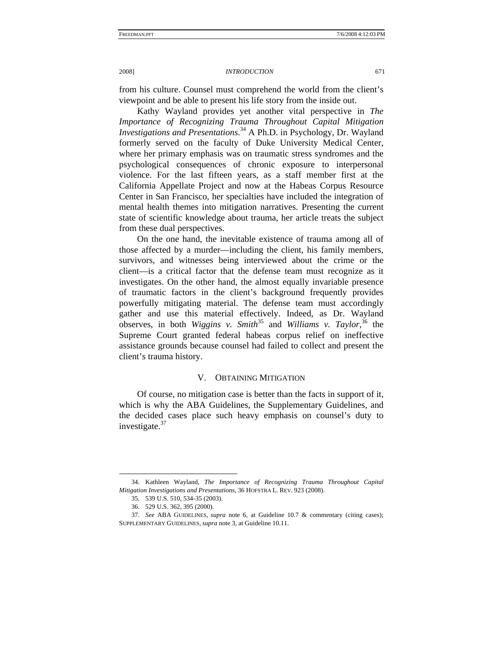from his culture. Counsel must comprehend the world from the client's viewpoint and be able to present his life story from the inside out.

Kathy Wayland provides yet another vital perspective in *The Importance of Recognizing Trauma Throughout Capital Mitigation Investigations and Presentations*. [34](#page-8-0) A Ph.D. in Psychology, Dr. Wayland formerly served on the faculty of Duke University Medical Center, where her primary emphasis was on traumatic stress syndromes and the psychological consequences of chronic exposure to interpersonal violence. For the last fifteen years, as a staff member first at the California Appellate Project and now at the Habeas Corpus Resource Center in San Francisco, her specialties have included the integration of mental health themes into mitigation narratives. Presenting the current state of scientific knowledge about trauma, her article treats the subject from these dual perspectives.

On the one hand, the inevitable existence of trauma among all of those affected by a murder—including the client, his family members, survivors, and witnesses being interviewed about the crime or the client—is a critical factor that the defense team must recognize as it investigates. On the other hand, the almost equally invariable presence of traumatic factors in the client's background frequently provides powerfully mitigating material. The defense team must accordingly gather and use this material effectively. Indeed, as Dr. Wayland observes, in both *Wiggins v. Smith*<sup>35</sup> and *Williams v. Taylor*,<sup>36</sup> the Supreme Court granted federal habeas corpus relief on ineffective assistance grounds because counsel had failed to collect and present the client's trauma history.

# V. OBTAINING MITIGATION

Of course, no mitigation case is better than the facts in support of it, which is why the ABA Guidelines, the Supplementary Guidelines, and the decided cases place such heavy emphasis on counsel's duty to investigate. $37$ 

<span id="page-8-0"></span><sup>34.</sup> Kathleen Wayland, *The Importance of Recognizing Trauma Throughout Capital Mitigation Investigations and Presentations*, 36 HOFSTRA L. REV. 923 (2008).

<span id="page-8-1"></span><sup>35. 539</sup> U.S. 510, 534-35 (2003).

<span id="page-8-3"></span><span id="page-8-2"></span><sup>36. 529</sup> U.S. 362, 395 (2000).

<sup>37.</sup> *See* ABA GUIDELINES, *supra* note 6, at Guideline 10.7 & commentary (citing cases); SUPPLEMENTARY GUIDELINES, *supra* note 3, at Guideline 10.11.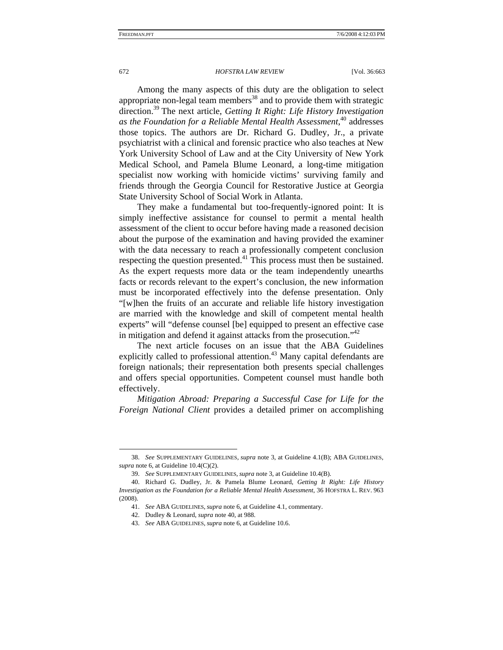Among the many aspects of this duty are the obligation to select appropriate non-legal team members<sup>38</sup> and to provide them with strategic direction.[39](#page-9-1) The next article, *Getting It Right: Life History Investigation as the Foundation for a Reliable Mental Health Assessment*, [40](#page-9-2) addresses those topics. The authors are Dr. Richard G. Dudley, Jr., a private psychiatrist with a clinical and forensic practice who also teaches at New York University School of Law and at the City University of New York Medical School, and Pamela Blume Leonard, a long-time mitigation specialist now working with homicide victims' surviving family and friends through the Georgia Council for Restorative Justice at Georgia State University School of Social Work in Atlanta.

They make a fundamental but too-frequently-ignored point: It is simply ineffective assistance for counsel to permit a mental health assessment of the client to occur before having made a reasoned decision about the purpose of the examination and having provided the examiner with the data necessary to reach a professionally competent conclusion respecting the question presented.[41](#page-9-3) This process must then be sustained. As the expert requests more data or the team independently unearths facts or records relevant to the expert's conclusion, the new information must be incorporated effectively into the defense presentation. Only "[w]hen the fruits of an accurate and reliable life history investigation are married with the knowledge and skill of competent mental health experts" will "defense counsel [be] equipped to present an effective case in mitigation and defend it against attacks from the prosecution. $142$ 

The next article focuses on an issue that the ABA Guidelines explicitly called to professional attention.<sup>43</sup> Many capital defendants are foreign nationals; their representation both presents special challenges and offers special opportunities. Competent counsel must handle both effectively.

*Mitigation Abroad: Preparing a Successful Case for Life for the Foreign National Client* provides a detailed primer on accomplishing

<span id="page-9-0"></span><sup>38.</sup> *See* SUPPLEMENTARY GUIDELINES, *supra* note 3, at Guideline 4.1(B); ABA GUIDELINES, *supra* note 6, at Guideline 10.4(C)(2).

<span id="page-9-2"></span><span id="page-9-1"></span><sup>39.</sup> *See* SUPPLEMENTARY GUIDELINES, *supra* note 3, at Guideline 10.4(B).

<sup>40.</sup> Richard G. Dudley, Jr. & Pamela Blume Leonard, *Getting It Right: Life History Investigation as the Foundation for a Reliable Mental Health Assessment*, 36 HOFSTRA L. REV. 963 (2008).

<span id="page-9-3"></span><sup>41.</sup> *See* ABA GUIDELINES, *supra* note 6, at Guideline 4.1, commentary.

<span id="page-9-4"></span><sup>42.</sup> Dudley & Leonard, *supra* note 40, at 988.

<span id="page-9-5"></span><sup>43.</sup> *See* ABA GUIDELINES, *supra* note 6, at Guideline 10.6.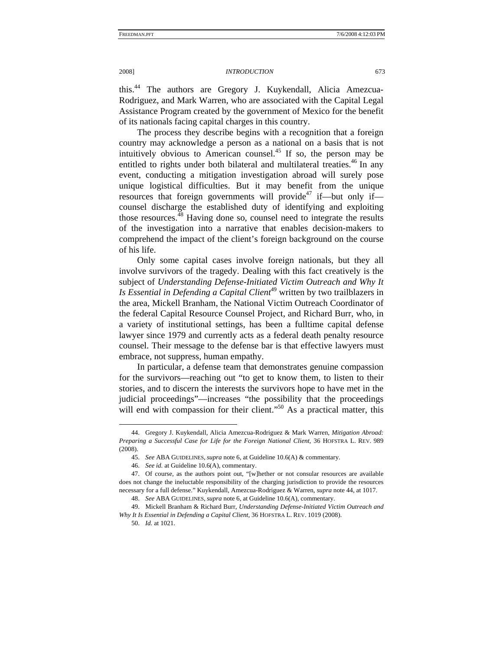this.[44](#page-10-0) The authors are Gregory J. Kuykendall, Alicia Amezcua-Rodriguez, and Mark Warren, who are associated with the Capital Legal Assistance Program created by the government of Mexico for the benefit of its nationals facing capital charges in this country.

The process they describe begins with a recognition that a foreign country may acknowledge a person as a national on a basis that is not intuitively obvious to American counsel.[45](#page-10-1) If so, the person may be entitled to rights under both bilateral and multilateral treaties.<sup>46</sup> In any event, conducting a mitigation investigation abroad will surely pose unique logistical difficulties. But it may benefit from the unique resources that foreign governments will provide<sup>47</sup> if—but only if counsel discharge the established duty of identifying and exploiting those resources.<sup>48</sup> Having done so, counsel need to integrate the results of the investigation into a narrative that enables decision-makers to comprehend the impact of the client's foreign background on the course of his life.

Only some capital cases involve foreign nationals, but they all involve survivors of the tragedy. Dealing with this fact creatively is the subject of *Understanding Defense-Initiated Victim Outreach and Why It Is Essential in Defending a Capital Client*<sup>49</sup> written by two trailblazers in the area, Mickell Branham, the National Victim Outreach Coordinator of the federal Capital Resource Counsel Project, and Richard Burr, who, in a variety of institutional settings, has been a fulltime capital defense lawyer since 1979 and currently acts as a federal death penalty resource counsel. Their message to the defense bar is that effective lawyers must embrace, not suppress, human empathy.

In particular, a defense team that demonstrates genuine compassion for the survivors—reaching out "to get to know them, to listen to their stories, and to discern the interests the survivors hope to have met in the judicial proceedings"—increases "the possibility that the proceedings will end with compassion for their client."<sup>50</sup> As a practical matter, this

<span id="page-10-0"></span><sup>44.</sup> Gregory J. Kuykendall, Alicia Amezcua-Rodriguez & Mark Warren, *Mitigation Abroad: Preparing a Successful Case for Life for the Foreign National Client*, 36 HOFSTRA L. REV. 989 (2008).

<span id="page-10-1"></span><sup>45.</sup> *See* ABA GUIDELINES, *supra* note 6, at Guideline 10.6(A) & commentary.

<span id="page-10-3"></span><span id="page-10-2"></span><sup>46.</sup> *See id.* at Guideline 10.6(A), commentary.

<sup>47.</sup> Of course, as the authors point out, "[w]hether or not consular resources are available does not change the ineluctable responsibility of the charging jurisdiction to provide the resources necessary for a full defense." Kuykendall, Amezcua-Rodriguez & Warren, *supra* note 44, at 1017. 48. *See* ABA GUIDELINES, *supra* note 6, at Guideline 10.6(A), commentary.

<span id="page-10-5"></span><span id="page-10-4"></span>

<sup>49.</sup> Mickell Branham & Richard Burr, *Understanding Defense-Initiated Victim Outreach and Why It Is Essential in Defending a Capital Client*, 36 HOFSTRA L. REV. 1019 (2008).

<span id="page-10-6"></span><sup>50.</sup> *Id.* at 1021.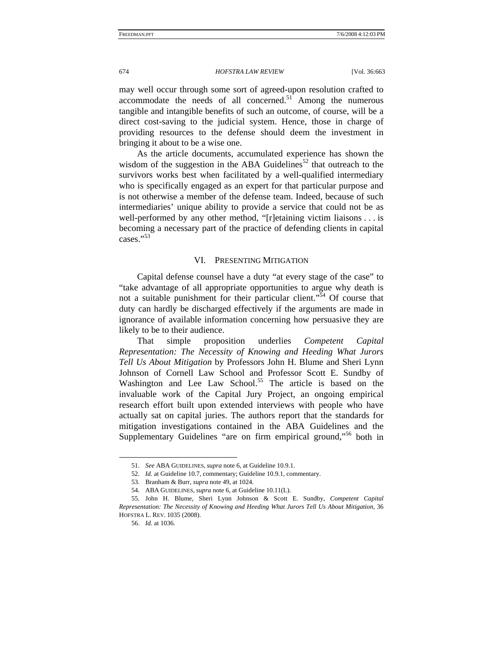may well occur through some sort of agreed-upon resolution crafted to accommodate the needs of all concerned. $51$  Among the numerous tangible and intangible benefits of such an outcome, of course, will be a direct cost-saving to the judicial system. Hence, those in charge of providing resources to the defense should deem the investment in bringing it about to be a wise one.

As the article documents, accumulated experience has shown the wisdom of the suggestion in the ABA Guidelines<sup>52</sup> that outreach to the survivors works best when facilitated by a well-qualified intermediary who is specifically engaged as an expert for that particular purpose and is not otherwise a member of the defense team. Indeed, because of such intermediaries' unique ability to provide a service that could not be as well-performed by any other method, "[r]etaining victim liaisons . . . is becoming a necessary part of the practice of defending clients in capital cases."[53](#page-11-2)

### VI. PRESENTING MITIGATION

Capital defense counsel have a duty "at every stage of the case" to "take advantage of all appropriate opportunities to argue why death is not a suitable punishment for their particular client."<sup>54</sup> Of course that duty can hardly be discharged effectively if the arguments are made in ignorance of available information concerning how persuasive they are likely to be to their audience.

That simple proposition underlies *Competent Capital Representation: The Necessity of Knowing and Heeding What Jurors Tell Us About Mitigation* by Professors John H. Blume and Sheri Lynn Johnson of Cornell Law School and Professor Scott E. Sundby of Washington and Lee Law School.<sup>55</sup> The article is based on the invaluable work of the Capital Jury Project, an ongoing empirical research effort built upon extended interviews with people who have actually sat on capital juries. The authors report that the standards for mitigation investigations contained in the ABA Guidelines and the Supplementary Guidelines "are on firm empirical ground,"<sup>56</sup> both in

<span id="page-11-0"></span><sup>51.</sup> *See* ABA GUIDELINES, *supra* note 6, at Guideline 10.9.1.

<span id="page-11-1"></span><sup>52.</sup> *Id.* at Guideline 10.7, commentary; Guideline 10.9.1, commentary.

<span id="page-11-2"></span><sup>53.</sup> Branham & Burr, *supra* note 49, at 1024.

<span id="page-11-4"></span><span id="page-11-3"></span><sup>54.</sup> ABA GUIDELINES, *supra* note 6, at Guideline 10.11(L).

<sup>55.</sup> John H. Blume, Sheri Lynn Johnson & Scott E. Sundby, *Competent Capital Representation: The Necessity of Knowing and Heeding What Jurors Tell Us About Mitigation*, 36 HOFSTRA L. REV. 1035 (2008).

<span id="page-11-5"></span><sup>56.</sup> *Id.* at 1036.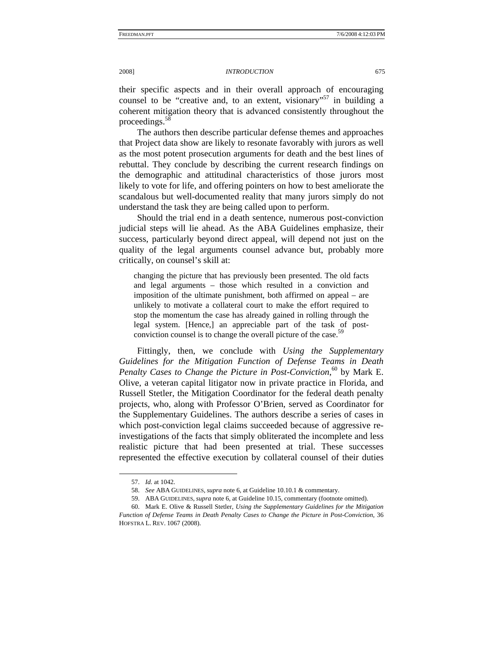their specific aspects and in their overall approach of encouraging counsel to be "creative and, to an extent, visionary"<sup>57</sup> in building a coherent mitigation theory that is advanced consistently throughout the proceedings.<sup>[58](#page-12-1)</sup>

The authors then describe particular defense themes and approaches that Project data show are likely to resonate favorably with jurors as well as the most potent prosecution arguments for death and the best lines of rebuttal. They conclude by describing the current research findings on the demographic and attitudinal characteristics of those jurors most likely to vote for life, and offering pointers on how to best ameliorate the scandalous but well-documented reality that many jurors simply do not understand the task they are being called upon to perform.

Should the trial end in a death sentence, numerous post-conviction judicial steps will lie ahead. As the ABA Guidelines emphasize, their success, particularly beyond direct appeal, will depend not just on the quality of the legal arguments counsel advance but, probably more critically, on counsel's skill at:

changing the picture that has previously been presented. The old facts and legal arguments – those which resulted in a conviction and imposition of the ultimate punishment, both affirmed on appeal – are unlikely to motivate a collateral court to make the effort required to stop the momentum the case has already gained in rolling through the legal system. [Hence,] an appreciable part of the task of postconviction counsel is to change the overall picture of the case.<sup>5</sup>

Fittingly, then, we conclude with *Using the Supplementary Guidelines for the Mitigation Function of Defense Teams in Death Penalty Cases to Change the Picture in Post-Conviction*, [60](#page-12-3) by Mark E. Olive, a veteran capital litigator now in private practice in Florida, and Russell Stetler, the Mitigation Coordinator for the federal death penalty projects, who, along with Professor O'Brien, served as Coordinator for the Supplementary Guidelines. The authors describe a series of cases in which post-conviction legal claims succeeded because of aggressive reinvestigations of the facts that simply obliterated the incomplete and less realistic picture that had been presented at trial. These successes represented the effective execution by collateral counsel of their duties

<span id="page-12-0"></span><sup>57.</sup> *Id.* at 1042.

<span id="page-12-1"></span><sup>58.</sup> *See* ABA GUIDELINES, *supra* note 6, at Guideline 10.10.1 & commentary.

<span id="page-12-3"></span><span id="page-12-2"></span><sup>59.</sup> ABA GUIDELINES, *supra* note 6, at Guideline 10.15, commentary (footnote omitted).

<sup>60.</sup> Mark E. Olive & Russell Stetler, *Using the Supplementary Guidelines for the Mitigation Function of Defense Teams in Death Penalty Cases to Change the Picture in Post-Conviction*, 36 HOFSTRA L. REV. 1067 (2008).